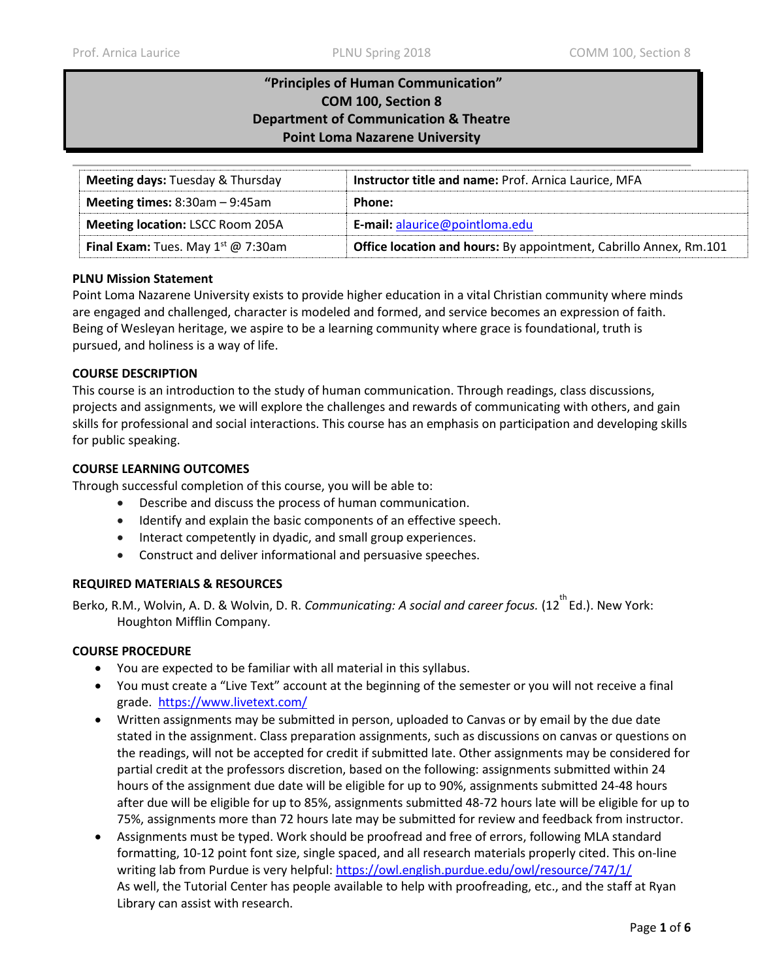# **"Principles of Human Communication" COM 100, Section 8 Department of Communication & Theatre Point Loma Nazarene University**

| <b>Meeting days: Tuesday &amp; Thursday</b>    | Instructor title and name: Prof. Arnica Laurice, MFA              |
|------------------------------------------------|-------------------------------------------------------------------|
| <b>Meeting times:</b> $8:30am - 9:45am$        | Phone:                                                            |
| <b>Meeting location: LSCC Room 205A</b>        | E-mail: alaurice@pointloma.edu                                    |
| <b>Final Exam:</b> Tues. May $1^{st}$ @ 7:30am | Office location and hours: By appointment, Cabrillo Annex, Rm.101 |

## **PLNU Mission Statement**

Point Loma Nazarene University exists to provide higher education in a vital Christian community where minds are engaged and challenged, character is modeled and formed, and service becomes an expression of faith. Being of Wesleyan heritage, we aspire to be a learning community where grace is foundational, truth is pursued, and holiness is a way of life.

## **COURSE DESCRIPTION**

This course is an introduction to the study of human communication. Through readings, class discussions, projects and assignments, we will explore the challenges and rewards of communicating with others, and gain skills for professional and social interactions. This course has an emphasis on participation and developing skills for public speaking.

## **COURSE LEARNING OUTCOMES**

Through successful completion of this course, you will be able to:

- Describe and discuss the process of human communication.
- Identify and explain the basic components of an effective speech.
- Interact competently in dyadic, and small group experiences.
- Construct and deliver informational and persuasive speeches.

#### **REQUIRED MATERIALS & RESOURCES**

Berko, R.M., Wolvin, A. D. & Wolvin, D. R. *Communicating: A social and career focus.* (12<sup>th</sup> Ed.). New York: Houghton Mifflin Company.

#### **COURSE PROCEDURE**

- You are expected to be familiar with all material in this syllabus.
- You must create a "Live Text" account at the beginning of the semester or you will not receive a final grade. <https://www.livetext.com/>
- Written assignments may be submitted in person, uploaded to Canvas or by email by the due date stated in the assignment. Class preparation assignments, such as discussions on canvas or questions on the readings, will not be accepted for credit if submitted late. Other assignments may be considered for partial credit at the professors discretion, based on the following: assignments submitted within 24 hours of the assignment due date will be eligible for up to 90%, assignments submitted 24-48 hours after due will be eligible for up to 85%, assignments submitted 48-72 hours late will be eligible for up to 75%, assignments more than 72 hours late may be submitted for review and feedback from instructor.
- Assignments must be typed. Work should be proofread and free of errors, following MLA standard formatting, 10-12 point font size, single spaced, and all research materials properly cited. This on-line writing lab from Purdue is very helpful: https://owl.english.purdue.edu/owl/resource/747/1/ As well, the Tutorial Center has people available to help with proofreading, etc., and the staff at Ryan Library can assist with research.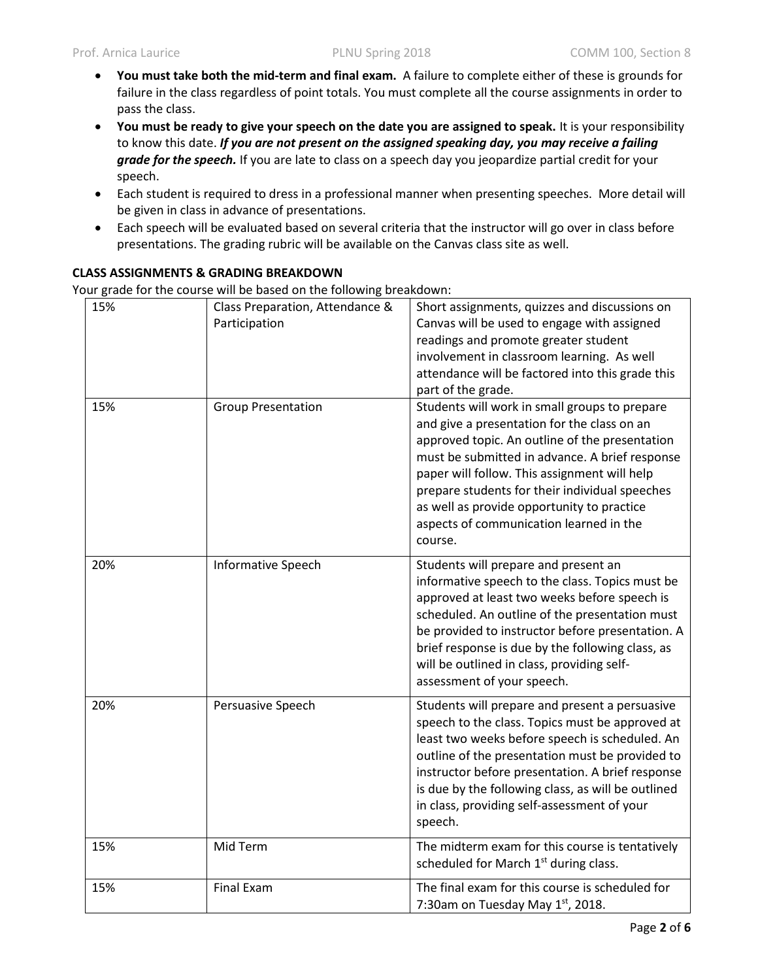- **You must take both the mid-term and final exam.** A failure to complete either of these is grounds for failure in the class regardless of point totals. You must complete all the course assignments in order to pass the class.
- **You must be ready to give your speech on the date you are assigned to speak.** It is your responsibility to know this date. *If you are not present on the assigned speaking day, you may receive a failing grade for the speech.* If you are late to class on a speech day you jeopardize partial credit for your speech.
- Each student is required to dress in a professional manner when presenting speeches. More detail will be given in class in advance of presentations.
- Each speech will be evaluated based on several criteria that the instructor will go over in class before presentations. The grading rubric will be available on the Canvas class site as well.

## **CLASS ASSIGNMENTS & GRADING BREAKDOWN**

Your grade for the course will be based on the following breakdown:

| 15% | Class Preparation, Attendance &<br>Participation | Short assignments, quizzes and discussions on<br>Canvas will be used to engage with assigned<br>readings and promote greater student<br>involvement in classroom learning. As well<br>attendance will be factored into this grade this<br>part of the grade.                                                                                                                                           |
|-----|--------------------------------------------------|--------------------------------------------------------------------------------------------------------------------------------------------------------------------------------------------------------------------------------------------------------------------------------------------------------------------------------------------------------------------------------------------------------|
| 15% | <b>Group Presentation</b>                        | Students will work in small groups to prepare<br>and give a presentation for the class on an<br>approved topic. An outline of the presentation<br>must be submitted in advance. A brief response<br>paper will follow. This assignment will help<br>prepare students for their individual speeches<br>as well as provide opportunity to practice<br>aspects of communication learned in the<br>course. |
| 20% | Informative Speech                               | Students will prepare and present an<br>informative speech to the class. Topics must be<br>approved at least two weeks before speech is<br>scheduled. An outline of the presentation must<br>be provided to instructor before presentation. A<br>brief response is due by the following class, as<br>will be outlined in class, providing self-<br>assessment of your speech.                          |
| 20% | Persuasive Speech                                | Students will prepare and present a persuasive<br>speech to the class. Topics must be approved at<br>least two weeks before speech is scheduled. An<br>outline of the presentation must be provided to<br>instructor before presentation. A brief response<br>is due by the following class, as will be outlined<br>in class, providing self-assessment of your<br>speech.                             |
| 15% | Mid Term                                         | The midterm exam for this course is tentatively<br>scheduled for March 1 <sup>st</sup> during class.                                                                                                                                                                                                                                                                                                   |
| 15% | <b>Final Exam</b>                                | The final exam for this course is scheduled for<br>7:30am on Tuesday May 1st, 2018.                                                                                                                                                                                                                                                                                                                    |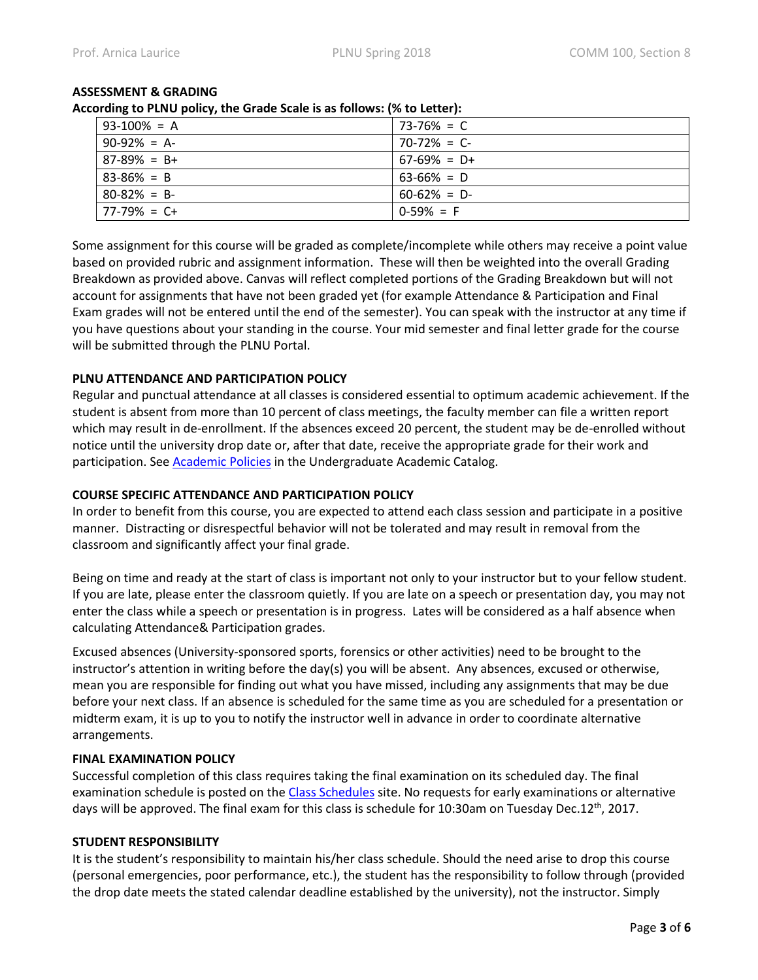| cording to rervo policy, the drage scale is as follows. (70 to Letter). |                 |  |  |
|-------------------------------------------------------------------------|-----------------|--|--|
| $93-100% = A$                                                           | $73 - 76\% = C$ |  |  |
| $90-92\% = A$ -                                                         | $70-72\% = C$   |  |  |
| $87-89\% = B+$                                                          | $67-69\% = D+$  |  |  |
| $83 - 86\% = B$                                                         | $63-66\% = D$   |  |  |
| $80 - 82\% = B$                                                         | $60 - 62\% = D$ |  |  |
| $77-79\% = C+$                                                          | $0-59\% = F$    |  |  |

# **ASSESSMENT & GRADING**

**According to PLNU policy, the Grade Scale is as follows: (% to Letter):** 

Some assignment for this course will be graded as complete/incomplete while others may receive a point value based on provided rubric and assignment information. These will then be weighted into the overall Grading Breakdown as provided above. Canvas will reflect completed portions of the Grading Breakdown but will not account for assignments that have not been graded yet (for example Attendance & Participation and Final Exam grades will not be entered until the end of the semester). You can speak with the instructor at any time if you have questions about your standing in the course. Your mid semester and final letter grade for the course will be submitted through the PLNU Portal.

## **PLNU ATTENDANCE AND PARTICIPATION POLICY**

Regular and punctual attendance at all classes is considered essential to optimum academic achievement. If the student is absent from more than 10 percent of class meetings, the faculty member can file a written report which may result in de-enrollment. If the absences exceed 20 percent, the student may be de-enrolled without notice until the university drop date or, after that date, receive the appropriate grade for their work and participation. Se[e Academic Policies](http://catalog.pointloma.edu/content.php?catoid=18&navoid=1278) in the Undergraduate Academic Catalog.

## **COURSE SPECIFIC ATTENDANCE AND PARTICIPATION POLICY**

In order to benefit from this course, you are expected to attend each class session and participate in a positive manner. Distracting or disrespectful behavior will not be tolerated and may result in removal from the classroom and significantly affect your final grade.

Being on time and ready at the start of class is important not only to your instructor but to your fellow student. If you are late, please enter the classroom quietly. If you are late on a speech or presentation day, you may not enter the class while a speech or presentation is in progress. Lates will be considered as a half absence when calculating Attendance& Participation grades.

Excused absences (University-sponsored sports, forensics or other activities) need to be brought to the instructor's attention in writing before the day(s) you will be absent. Any absences, excused or otherwise, mean you are responsible for finding out what you have missed, including any assignments that may be due before your next class. If an absence is scheduled for the same time as you are scheduled for a presentation or midterm exam, it is up to you to notify the instructor well in advance in order to coordinate alternative arrangements.

## **FINAL EXAMINATION POLICY**

Successful completion of this class requires taking the final examination on its scheduled day. The final examination schedule is posted on the [Class Schedules](http://www.pointloma.edu/experience/academics/class-schedules) site. No requests for early examinations or alternative days will be approved. The final exam for this class is schedule for 10:30am on Tuesday Dec.12<sup>th</sup>, 2017.

#### **STUDENT RESPONSIBILITY**

It is the student's responsibility to maintain his/her class schedule. Should the need arise to drop this course (personal emergencies, poor performance, etc.), the student has the responsibility to follow through (provided the drop date meets the stated calendar deadline established by the university), not the instructor. Simply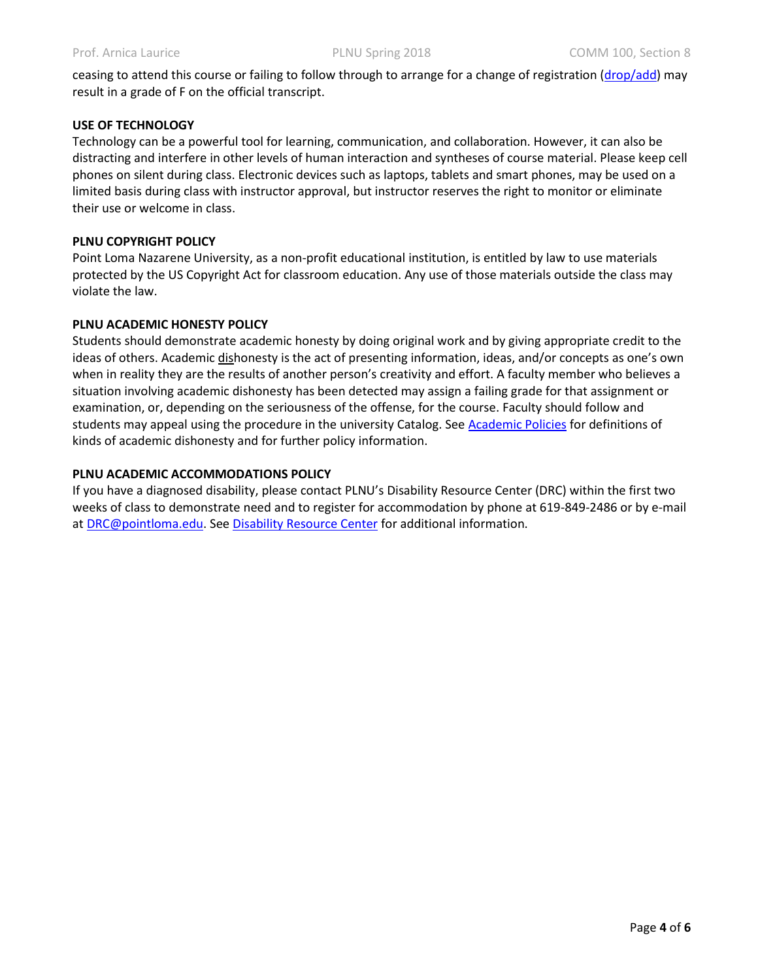ceasing to attend this course or failing to follow through to arrange for a change of registration [\(drop/add\)](http://www.pointloma.edu/sites/default/files/filemanager/Records_Office/Change_of_Schedule_Form.pdf) may result in a grade of F on the official transcript.

### **USE OF TECHNOLOGY**

Technology can be a powerful tool for learning, communication, and collaboration. However, it can also be distracting and interfere in other levels of human interaction and syntheses of course material. Please keep cell phones on silent during class. Electronic devices such as laptops, tablets and smart phones, may be used on a limited basis during class with instructor approval, but instructor reserves the right to monitor or eliminate their use or welcome in class.

## **PLNU COPYRIGHT POLICY**

Point Loma Nazarene University, as a non-profit educational institution, is entitled by law to use materials protected by the US Copyright Act for classroom education. Any use of those materials outside the class may violate the law.

## **PLNU ACADEMIC HONESTY POLICY**

Students should demonstrate academic honesty by doing original work and by giving appropriate credit to the ideas of others. Academic dishonesty is the act of presenting information, ideas, and/or concepts as one's own when in reality they are the results of another person's creativity and effort. A faculty member who believes a situation involving academic dishonesty has been detected may assign a failing grade for that assignment or examination, or, depending on the seriousness of the offense, for the course. Faculty should follow and students may appeal using the procedure in the university Catalog. See [Academic Policies](http://catalog.pointloma.edu/content.php?catoid=18&navoid=1278) for definitions of kinds of academic dishonesty and for further policy information.

#### **PLNU ACADEMIC ACCOMMODATIONS POLICY**

If you have a diagnosed disability, please contact PLNU's Disability Resource Center (DRC) within the first two weeks of class to demonstrate need and to register for accommodation by phone at 619-849-2486 or by e-mail at [DRC@pointloma.edu.](mailto:DRC@pointloma.edu) See [Disability Resource Center](http://www.pointloma.edu/experience/offices/administrative-offices/academic-advising-office/disability-resource-center) for additional information.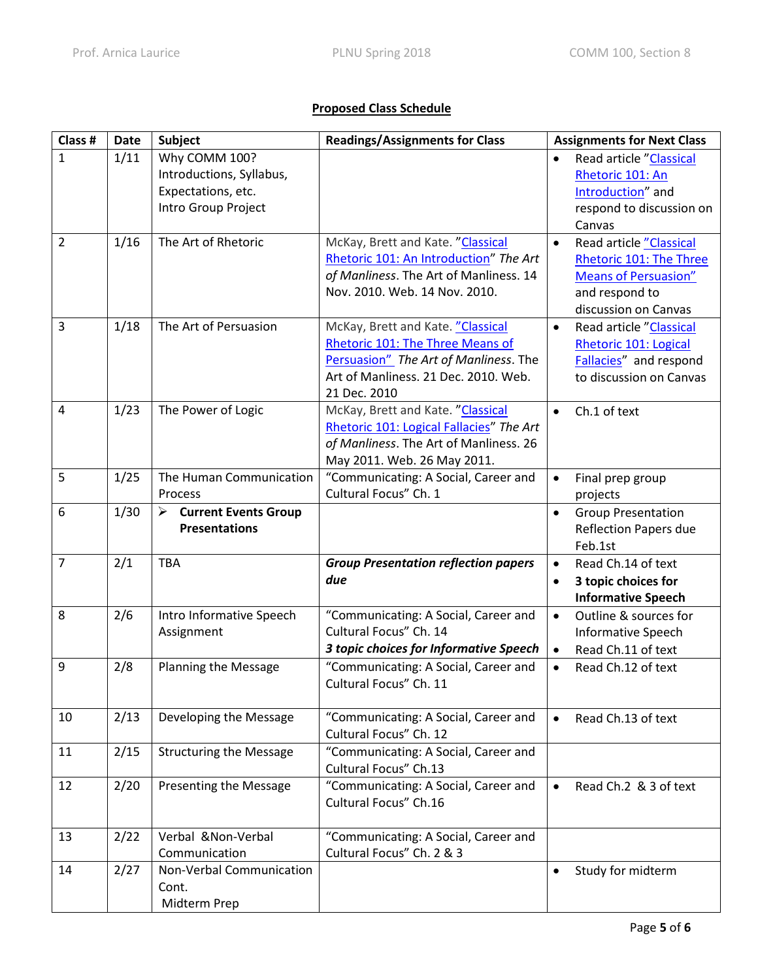## **Proposed Class Schedule**

| Class #        | <b>Date</b> | Subject                               | <b>Readings/Assignments for Class</b>                                         | <b>Assignments for Next Class</b>      |
|----------------|-------------|---------------------------------------|-------------------------------------------------------------------------------|----------------------------------------|
| $\mathbf{1}$   | 1/11        | Why COMM 100?                         |                                                                               | Read article "Classical                |
|                |             | Introductions, Syllabus,              |                                                                               | Rhetoric 101: An                       |
|                |             | Expectations, etc.                    |                                                                               | Introduction" and                      |
|                |             | Intro Group Project                   |                                                                               | respond to discussion on               |
|                |             |                                       |                                                                               | Canvas                                 |
| $\overline{2}$ | 1/16        | The Art of Rhetoric                   | McKay, Brett and Kate. "Classical                                             | Read article "Classical<br>$\bullet$   |
|                |             |                                       | Rhetoric 101: An Introduction" The Art                                        | Rhetoric 101: The Three                |
|                |             |                                       | of Manliness. The Art of Manliness. 14                                        | <b>Means of Persuasion"</b>            |
|                |             |                                       | Nov. 2010. Web. 14 Nov. 2010.                                                 | and respond to                         |
|                |             |                                       |                                                                               | discussion on Canvas                   |
| 3              | 1/18        | The Art of Persuasion                 | McKay, Brett and Kate. "Classical                                             | Read article "Classical<br>$\bullet$   |
|                |             |                                       | Rhetoric 101: The Three Means of                                              | Rhetoric 101: Logical                  |
|                |             |                                       | Persuasion" The Art of Manliness. The                                         | Fallacies" and respond                 |
|                |             |                                       | Art of Manliness. 21 Dec. 2010. Web.                                          | to discussion on Canvas                |
| $\overline{4}$ | 1/23        |                                       | 21 Dec. 2010                                                                  | Ch.1 of text                           |
|                |             | The Power of Logic                    | McKay, Brett and Kate. "Classical<br>Rhetoric 101: Logical Fallacies" The Art | $\bullet$                              |
|                |             |                                       | of Manliness. The Art of Manliness. 26                                        |                                        |
|                |             |                                       | May 2011. Web. 26 May 2011.                                                   |                                        |
| 5              | 1/25        | The Human Communication               | "Communicating: A Social, Career and                                          | Final prep group<br>$\bullet$          |
|                |             | Process                               | Cultural Focus" Ch. 1                                                         | projects                               |
| 6              | 1/30        | $\triangleright$ Current Events Group |                                                                               | <b>Group Presentation</b><br>$\bullet$ |
|                |             | <b>Presentations</b>                  |                                                                               | <b>Reflection Papers due</b>           |
|                |             |                                       |                                                                               | Feb.1st                                |
| 7              | 2/1         | <b>TBA</b>                            | <b>Group Presentation reflection papers</b>                                   | Read Ch.14 of text<br>$\bullet$        |
|                |             |                                       | due                                                                           | 3 topic choices for<br>$\bullet$       |
|                |             |                                       |                                                                               | <b>Informative Speech</b>              |
| 8              | 2/6         | Intro Informative Speech              | "Communicating: A Social, Career and                                          | Outline & sources for<br>$\bullet$     |
|                |             | Assignment                            | Cultural Focus" Ch. 14                                                        | <b>Informative Speech</b>              |
|                |             |                                       | 3 topic choices for Informative Speech                                        | Read Ch.11 of text<br>$\bullet$        |
| 9              | 2/8         | <b>Planning the Message</b>           | "Communicating: A Social, Career and                                          | Read Ch.12 of text<br>$\bullet$        |
|                |             |                                       | Cultural Focus" Ch. 11                                                        |                                        |
|                |             |                                       |                                                                               |                                        |
| 10             | 2/13        | Developing the Message                | "Communicating: A Social, Career and                                          | Read Ch.13 of text<br>$\bullet$        |
|                |             |                                       | Cultural Focus" Ch. 12                                                        |                                        |
| 11             | 2/15        | <b>Structuring the Message</b>        | "Communicating: A Social, Career and                                          |                                        |
|                |             |                                       | Cultural Focus" Ch.13                                                         |                                        |
| 12             | 2/20        | Presenting the Message                | "Communicating: A Social, Career and                                          | Read Ch.2 & 3 of text<br>$\bullet$     |
|                |             |                                       | Cultural Focus" Ch.16                                                         |                                        |
|                |             |                                       |                                                                               |                                        |
| 13             | 2/22        | Verbal & Non-Verbal                   | "Communicating: A Social, Career and                                          |                                        |
|                |             | Communication                         | Cultural Focus" Ch. 2 & 3                                                     |                                        |
| 14             | 2/27        | Non-Verbal Communication              |                                                                               | Study for midterm<br>$\bullet$         |
|                |             | Cont.                                 |                                                                               |                                        |
|                |             | Midterm Prep                          |                                                                               |                                        |